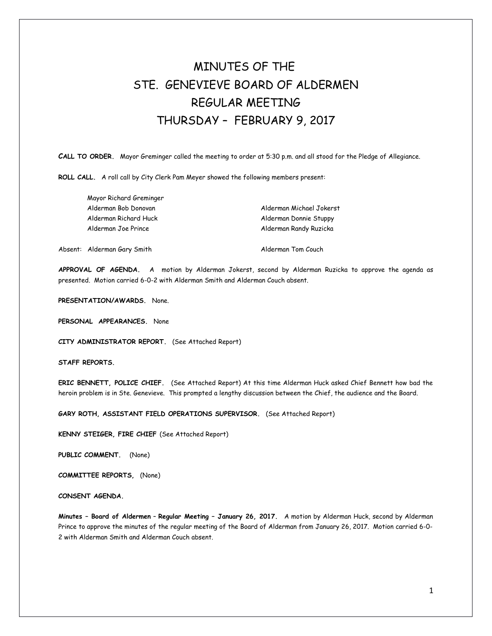## MINUTES OF THE STE. GENEVIEVE BOARD OF ALDERMEN REGULAR MEETING THURSDAY – FEBRUARY 9, 2017

**CALL TO ORDER.** Mayor Greminger called the meeting to order at 5:30 p.m. and all stood for the Pledge of Allegiance.

**ROLL CALL.** A roll call by City Clerk Pam Meyer showed the following members present:

Alderman Michael Jokerst Alderman Donnie Stuppy Alderman Randy Ruzicka

Absent: Alderman Gary Smith Alderman Tom Couch

**APPROVAL OF AGENDA.** A motion by Alderman Jokerst, second by Alderman Ruzicka to approve the agenda as presented. Motion carried 6-0-2 with Alderman Smith and Alderman Couch absent.

**PRESENTATION/AWARDS.** None.

**PERSONAL APPEARANCES.** None

**CITY ADMINISTRATOR REPORT.** (See Attached Report)

**STAFF REPORTS.** 

**ERIC BENNETT, POLICE CHIEF.** (See Attached Report) At this time Alderman Huck asked Chief Bennett how bad the heroin problem is in Ste. Genevieve. This prompted a lengthy discussion between the Chief, the audience and the Board.

**GARY ROTH, ASSISTANT FIELD OPERATIONS SUPERVISOR.** (See Attached Report)

**KENNY STEIGER, FIRE CHIEF** (See Attached Report)

**PUBLIC COMMENT.** (None)

**COMMITTEE REPORTS,** (None)

**CONSENT AGENDA.** 

**Minutes – Board of Aldermen** – **Regular Meeting – January 26, 2017.** A motion by Alderman Huck, second by Alderman Prince to approve the minutes of the regular meeting of the Board of Alderman from January 26, 2017. Motion carried 6-0- 2 with Alderman Smith and Alderman Couch absent.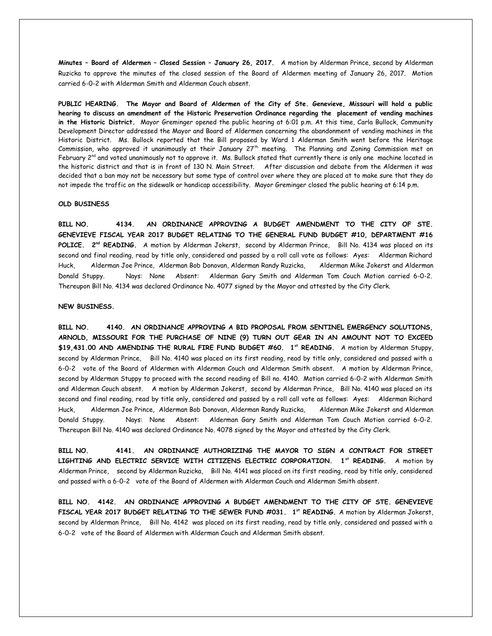**Minutes – Board of Aldermen – Closed Session – January 26, 2017.** A motion by Alderman Prince, second by Alderman Ruzicka to approve the minutes of the closed session of the Board of Aldermen meeting of January 26, 2017. Motion carried 6-0-2 with Alderman Smith and Alderman Couch absent.

**PUBLIC HEARING. The Mayor and Board of Aldermen of the City of Ste. Genevieve, Missouri will hold a public hearing to discuss an amendment of the Historic Preservation Ordinance regarding the placement of vending machines in the Historic District.** Mayor Greminger opened the public hearing at 6:01 p.m. At this time, Carla Bullock, Community Development Director addressed the Mayor and Board of Aldermen concerning the abandonment of vending machines in the Historic District. Ms. Bullock reported that the Bill proposed by Ward 1 Alderman Smith went before the Heritage Commission, who approved it unanimously at their January 27<sup>th</sup> meeting. The Planning and Zoning Commission met on February 2<sup>nd</sup> and voted unanimously not to approve it. Ms. Bullock stated that currently there is only one machine located in the historic district and that is in front of 130 N. Main Street. After discussion and debate from the Aldermen it was decided that a ban may not be necessary but some type of control over where they are placed at to make sure that they do not impede the traffic on the sidewalk or handicap accessibility. Mayor Greminger closed the public hearing at 6:14 p.m.

## **OLD BUSINESS**

**BILL NO. 4134. AN ORDINANCE APPROVING A BUDGET AMENDMENT TO THE CITY OF STE. GENEVIEVE FISCAL YEAR 2017 BUDGET RELATING TO THE GENERAL FUND BUDGET #10, DEPARTMENT #16 POLICE. 2nd READING.** A motion by Alderman Jokerst, second by Alderman Prince, Bill No. 4134 was placed on its second and final reading, read by title only, considered and passed by a roll call vote as follows: Ayes: Alderman Richard Huck, Alderman Joe Prince, Alderman Bob Donovan, Alderman Randy Ruzicka, Alderman Mike Jokerst and Alderman Donald Stuppy. Nays: None Absent: Alderman Gary Smith and Alderman Tom Couch Motion carried 6-0-2. Thereupon Bill No. 4134 was declared Ordinance No. 4077 signed by the Mayor and attested by the City Clerk.

## **NEW BUSINESS.**

**BILL NO. 4140. AN ORDINANCE APPROVING A BID PROPOSAL FROM SENTINEL EMERGENCY SOLUTIONS, ARNOLD, MISSOURI FOR THE PURCHASE OF NINE (9) TURN OUT GEAR IN AN AMOUNT NOT TO EXCEED \$19,431.00 AND AMENDING THE RURAL FIRE FUND BUDGET #60. 1st READING.** A motion by Alderman Stuppy, second by Alderman Prince, Bill No. 4140 was placed on its first reading, read by title only, considered and passed with a 6-0-2 vote of the Board of Aldermen with Alderman Couch and Alderman Smith absent. A motion by Alderman Prince, second by Alderman Stuppy to proceed with the second reading of Bill no. 4140. Motion carried 6-0-2 with Alderman Smith and Alderman Couch absent. A motion by Alderman Jokerst, second by Alderman Prince, Bill No. 4140 was placed on its second and final reading, read by title only, considered and passed by a roll call vote as follows: Ayes: Alderman Richard Huck, Alderman Joe Prince, Alderman Bob Donovan, Alderman Randy Ruzicka, Alderman Mike Jokerst and Alderman Donald Stuppy. Nays: None Absent: Alderman Gary Smith and Alderman Tom Couch Motion carried 6-0-2. Thereupon Bill No. 4140 was declared Ordinance No. 4078 signed by the Mayor and attested by the City Clerk.

**BILL NO. 4141. AN ORDINANCE AUTHORIZING THE MAYOR TO SIGN A CONTRACT FOR STREET LIGHTING AND ELECTRIC SERVICE WITH CITIZENS ELECTRIC CORPORATION. 1st READING.** A motion by Alderman Prince, second by Alderman Ruzicka, Bill No. 4141 was placed on its first reading, read by title only, considered and passed with a 6-0-2 vote of the Board of Aldermen with Alderman Couch and Alderman Smith absent.

**BILL NO. 4142. AN ORDINANCE APPROVING A BUDGET AMENDMENT TO THE CITY OF STE. GENEVIEVE FISCAL YEAR 2017 BUDGET RELATING TO THE SEWER FUND #031. 1st READING.** A motion by Alderman Jokerst, second by Alderman Prince, Bill No. 4142 was placed on its first reading, read by title only, considered and passed with a 6-0-2 vote of the Board of Aldermen with Alderman Couch and Alderman Smith absent.